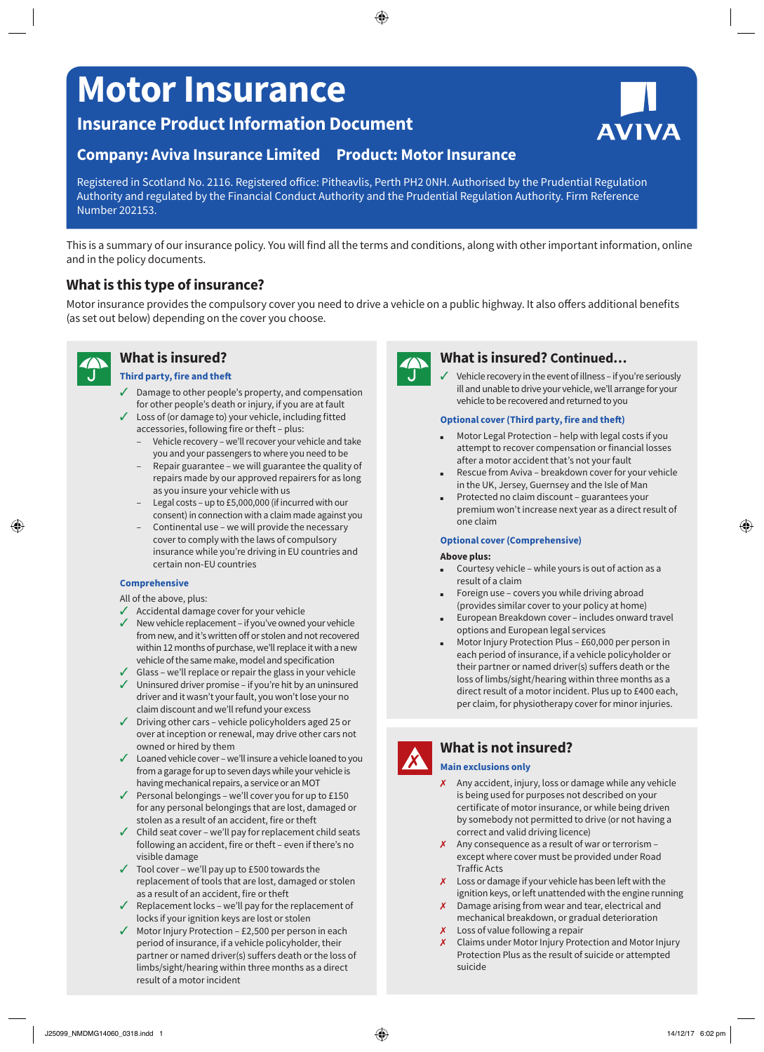# **Motor Insurance**

**Insurance Product Information Document**

# **Company: Aviva Insurance Limited Product: Motor Insurance**

Registered in Scotland No. 2116. Registered office: Pitheavlis, Perth PH2 0NH. Authorised by the Prudential Regulation Authority and regulated by the Financial Conduct Authority and the Prudential Regulation Authority. Firm Reference Number 202153.

This is a summary of our insurance policy. You will find all the terms and conditions, along with other important information, online and in the policy documents.

# **What is this type of insurance?**

Motor insurance provides the compulsory cover you need to drive a vehicle on a public highway. It also offers additional benefits (as set out below) depending on the cover you choose.

**What is insured?**

### **Third party, fire and theft**

- ✓✓ Damage to other people's property, and compensation for other people's death or injury, if you are at fault
- ✓✓ Loss of (or damage to) your vehicle, including fitted accessories, following fire or theft – plus:
	- Vehicle recovery we'll recover your vehicle and take you and your passengers to where you need to be
	- Repair guarantee we will guarantee the quality of repairs made by our approved repairers for as long as you insure your vehicle with us
	- Legal costs up to £5,000,000 (if incurred with our consent) in connection with a claim made against you
	- Continental use we will provide the necessary cover to comply with the laws of compulsory insurance while you're driving in EU countries and certain non-EU countries

### **Comprehensive**

All of the above, plus:

- ✓✓ Accidental damage cover for your vehicle
- $\checkmark$  New vehicle replacement if you've owned your vehicle from new, and it's written off or stolen and not recovered within 12 months of purchase, we'll replace it with a new vehicle of the same make, model and specification
- ✓✓ Glass we'll replace or repair the glass in your vehicle
- ✓✓ Uninsured driver promise if you're hit by an uninsured driver and it wasn't your fault, you won't lose your no claim discount and we'll refund your excess
- ✓✓ Driving other cars vehicle policyholders aged 25 or over at inception or renewal, may drive other cars not owned or hired by them
- ✓✓ Loaned vehicle cover we'll insure a vehicle loaned to you from a garage for up to seven days while your vehicle is having mechanical repairs, a service or an MOT
- ✓✓ Personal belongings we'll cover you for up to £150 for any personal belongings that are lost, damaged or stolen as a result of an accident, fire or theft
- $\checkmark$  Child seat cover we'll pay for replacement child seats following an accident, fire or theft – even if there's no visible damage
- ✓✓ Tool cover we'll pay up to £500 towards the replacement of tools that are lost, damaged or stolen as a result of an accident, fire or theft
- ✓✓ Replacement locks we'll pay for the replacement of locks if your ignition keys are lost or stolen
- ✓✓ Motor Injury Protection £2,500 per person in each period of insurance, if a vehicle policyholder, their partner or named driver(s) suffers death or the loss of limbs/sight/hearing within three months as a direct result of a motor incident



### **What is insured? Continued…**

Vehicle recovery in the event of illness – if you're seriously ill and unable to drive your vehicle, we'll arrange for your vehicle to be recovered and returned to you

### **Optional cover (Third party, fire and theft)**

- Motor Legal Protection help with legal costs if you attempt to recover compensation or financial losses after a motor accident that's not your fault
- Rescue from Aviva breakdown cover for your vehicle in the UK, Jersey, Guernsey and the Isle of Man
- Protected no claim discount guarantees your premium won't increase next year as a direct result of one claim

### **Optional cover (Comprehensive)**

#### **Above plus:**

- Courtesy vehicle while yours is out of action as a result of a claim
- Foreign use covers you while driving abroad (provides similar cover to your policy at home)
- European Breakdown cover includes onward travel options and European legal services
- Motor Injury Protection Plus £60,000 per person in each period of insurance, if a vehicle policyholder or their partner or named driver(s) suffers death or the loss of limbs/sight/hearing within three months as a direct result of a motor incident. Plus up to £400 each, per claim, for physiotherapy cover for minor injuries.

# **What is not insured?**

### **Main exclusions only**

- ✗ Any accident, injury, loss or damage while any vehicle is being used for purposes not described on your certificate of motor insurance, or while being driven by somebody not permitted to drive (or not having a correct and valid driving licence)
- $x$  Any consequence as a result of war or terrorism except where cover must be provided under Road Traffic Acts
- X Loss or damage if your vehicle has been left with the ignition keys, or left unattended with the engine running
- X Damage arising from wear and tear, electrical and mechanical breakdown, or gradual deterioration
- X Loss of value following a repair
- ✗ Claims under Motor Injury Protection and Motor Injury Protection Plus as the result of suicide or attempted suicide